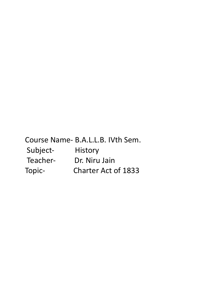Course Name- B.A.L.L.B. IVth Sem. Subject- History Teacher- Dr. Niru Jain Topic- Charter Act of 1833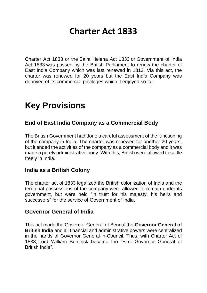# **Charter Act 1833**

Charter Act 1833 or the Saint Helena Act 1833 or Government of India Act 1833 was passed by the British Parliament to renew the charter of East India Company which was last renewed in 1813. Via this act, the charter was renewed for 20 years but the East India Company was deprived of its commercial privileges which it enjoyed so far.

# **Key Provisions**

## **End of East India Company as a Commercial Body**

The British Government had done a careful assessment of the functioning of the company in India. The charter was renewed for another 20 years, but it ended the activities of the company as a commercial body and it was made a purely administrative body. With this, British were allowed to settle freely in India.

#### **India as a British Colony**

The charter act of 1833 legalized the British colonization of India and the territorial possessions of the company were allowed to remain under its government, but were held "in trust for his majesty, his heirs and successors" for the service of Government of India.

#### **Governor General of India**

This act made the Governor General of Bengal the **Governor General of British India** and all financial and administrative powers were centralized in the hands of Governor General-in-Council. Thus, with Charter Act of 1833, Lord William Bentinck became the "First Governor General of British India".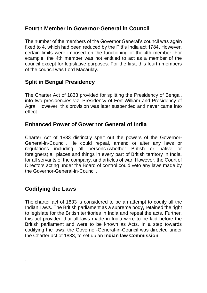## **Fourth Member in Governor-General in Council**

The number of the members of the Governor General's council was again fixed to 4, which had been reduced by the Pitt's India act 1784. However, certain limits were imposed on the functioning of the 4th member. For example, the 4th member was not entitled to act as a member of the council except for legislative purposes. For the first, this fourth members of the council was Lord Macaulay.

# **Split in Bengal Presidency**

The Charter Act of 1833 provided for splitting the Presidency of Bengal, into two presidencies viz. Presidency of Fort William and Presidency of Agra. However, this provision was later suspended and never came into effect.

#### **Enhanced Power of Governor General of India**

Charter Act of 1833 distinctly spelt out the powers of the Governor-General-in-Council. He could repeal, amend or alter any laws or regulations including all persons (whether British or native or foreigners),all places and things in every part of British territory in India, for all servants of the company, and articles of war. However, the Court of Directors acting under the Board of control could veto any laws made by the Governor-General-in-Council.

## **Codifying the Laws**

.

The charter act of 1833 is considered to be an attempt to codify all the Indian Laws. The British parliament as a supreme body, retained the right to legislate for the British territories in India and repeal the acts. Further, this act provided that all laws made in India were to be laid before the British parliament and were to be known as Acts. In a step towards codifying the laws, the Governor-General-in-Council was directed under the Charter act of 1833, to set up an **Indian law Commission**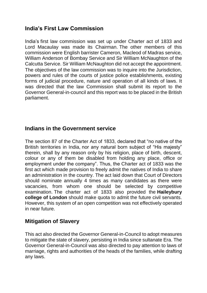#### **India's First Law Commission**

India's first law commission was set up under Charter act of 1833 and Lord Macaulay was made its Chairman. The other members of this commission were English barrister Cameron, Macleod of Madras service, William Anderson of Bombay Service and Sir William McNaughton of the Calcutta Service. Sir William McNaughton did not accept the appointment. The objectives of the law commission was to inquire into the Jurisdiction, powers and rules of the courts of justice police establishments, existing forms of judicial procedure, nature and operation of all kinds of laws. It was directed that the law Commission shall submit its report to the Governor General-in-council and this report was to be placed in the British parliament.

#### **Indians in the Government service**

The section 87 of the Charter Act of 1833, declared that "no native of the British territories in India, nor any natural born subject of "His majesty" therein, shall by any reason only by his religion, place of birth, descent, colour or any of them be disabled from holding any place, office or employment under the company". Thus, the Charter act of 1833 was the first act which made provision to freely admit the natives of India to share an administration in the country. The act laid down that Court of Directors should nominate annually 4 times as many candidates as there were vacancies, from whom one should be selected by competitive examination. The charter act of 1833 also provided the **Haileybury college of London** should make quota to admit the future civil servants. However, this system of an open competition was not effectively operated in near future.

#### **Mitigation of Slavery**

This act also directed the Governor General-in-Council to adopt measures to mitigate the state of slavery, persisting in India since sultanate Era. The Governor General-in-Council was also directed to pay attention to laws of marriage, rights and authorities of the heads of the families, while drafting any laws.